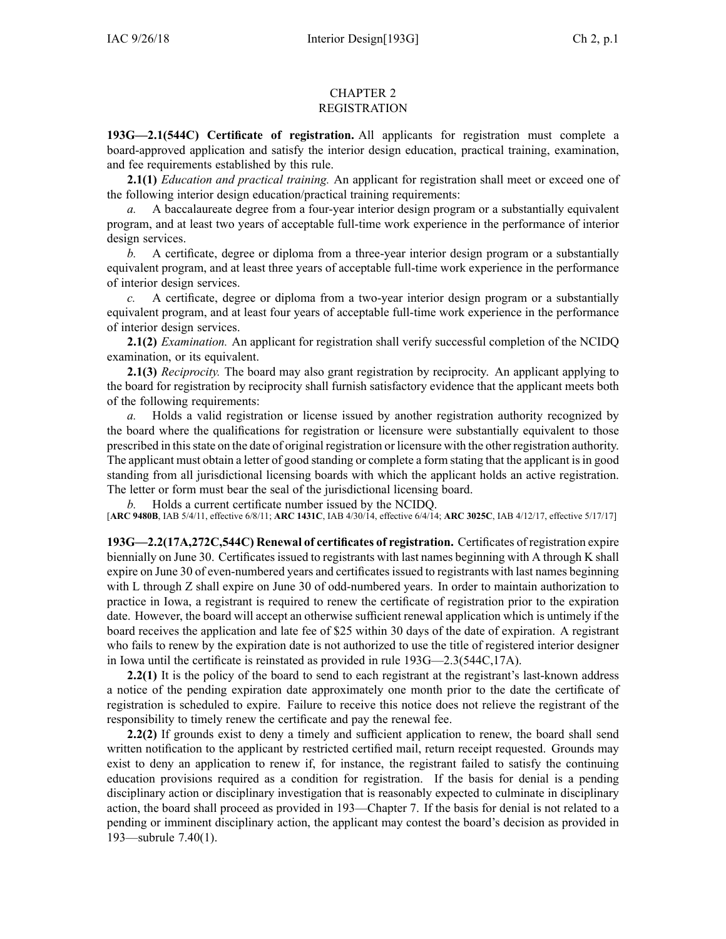## CHAPTER 2 REGISTRATION

**193G—2.1(544C) Certificate of registration.** All applicants for registration must complete <sup>a</sup> board-approved application and satisfy the interior design education, practical training, examination, and fee requirements established by this rule.

**2.1(1)** *Education and practical training.* An applicant for registration shall meet or exceed one of the following interior design education/practical training requirements:

*a.* A baccalaureate degree from <sup>a</sup> four-year interior design program or <sup>a</sup> substantially equivalent program, and at least two years of acceptable full-time work experience in the performance of interior design services.

*b.* A certificate, degree or diploma from <sup>a</sup> three-year interior design program or <sup>a</sup> substantially equivalent program, and at least three years of acceptable full-time work experience in the performance of interior design services.

*c.* A certificate, degree or diploma from <sup>a</sup> two-year interior design program or <sup>a</sup> substantially equivalent program, and at least four years of acceptable full-time work experience in the performance of interior design services.

**2.1(2)** *Examination.* An applicant for registration shall verify successful completion of the NCIDQ examination, or its equivalent.

**2.1(3)** *Reciprocity.* The board may also gran<sup>t</sup> registration by reciprocity. An applicant applying to the board for registration by reciprocity shall furnish satisfactory evidence that the applicant meets both of the following requirements:

*a.* Holds <sup>a</sup> valid registration or license issued by another registration authority recognized by the board where the qualifications for registration or licensure were substantially equivalent to those prescribed in thisstate on the date of original registration or licensure with the other registration authority. The applicant must obtain <sup>a</sup> letter of good standing or complete <sup>a</sup> form stating that the applicant isin good standing from all jurisdictional licensing boards with which the applicant holds an active registration. The letter or form must bear the seal of the jurisdictional licensing board.

*b.* Holds <sup>a</sup> current certificate number issued by the NCIDQ.

[**ARC [9480B](https://www.legis.iowa.gov/docs/aco/arc/9480B.pdf)**, IAB 5/4/11, effective 6/8/11; **ARC [1431C](https://www.legis.iowa.gov/docs/aco/arc/1431C.pdf)**, IAB 4/30/14, effective 6/4/14; **ARC [3025C](https://www.legis.iowa.gov/docs/aco/arc/3025C.pdf)**, IAB 4/12/17, effective 5/17/17]

**193G—2.2(17A,272C,544C) Renewal of certificates of registration.** Certificates of registration expire biennially on June 30. Certificates issued to registrants with last names beginning with A through K shall expire on June 30 of even-numbered years and certificates issued to registrants with last names beginning with L through Z shall expire on June 30 of odd-numbered years. In order to maintain authorization to practice in Iowa, <sup>a</sup> registrant is required to renew the certificate of registration prior to the expiration date. However, the board will accep<sup>t</sup> an otherwise sufficient renewal application which is untimely if the board receives the application and late fee of \$25 within 30 days of the date of expiration. A registrant who fails to renew by the expiration date is not authorized to use the title of registered interior designer in Iowa until the certificate is reinstated as provided in rule [193G—2.3](https://www.legis.iowa.gov/docs/iac/rule/193G.2.3.pdf)(544C,17A).

**2.2(1)** It is the policy of the board to send to each registrant at the registrant's last-known address <sup>a</sup> notice of the pending expiration date approximately one month prior to the date the certificate of registration is scheduled to expire. Failure to receive this notice does not relieve the registrant of the responsibility to timely renew the certificate and pay the renewal fee.

**2.2(2)** If grounds exist to deny <sup>a</sup> timely and sufficient application to renew, the board shall send written notification to the applicant by restricted certified mail, return receipt requested. Grounds may exist to deny an application to renew if, for instance, the registrant failed to satisfy the continuing education provisions required as <sup>a</sup> condition for registration. If the basis for denial is <sup>a</sup> pending disciplinary action or disciplinary investigation that is reasonably expected to culminate in disciplinary action, the board shall proceed as provided in [193—Chapter](https://www.legis.iowa.gov/docs/iac/chapter/193.7.pdf) 7. If the basis for denial is not related to <sup>a</sup> pending or imminent disciplinary action, the applicant may contest the board's decision as provided in [193—subrule](https://www.legis.iowa.gov/docs/iac/rule/193.7.40.pdf) 7.40(1).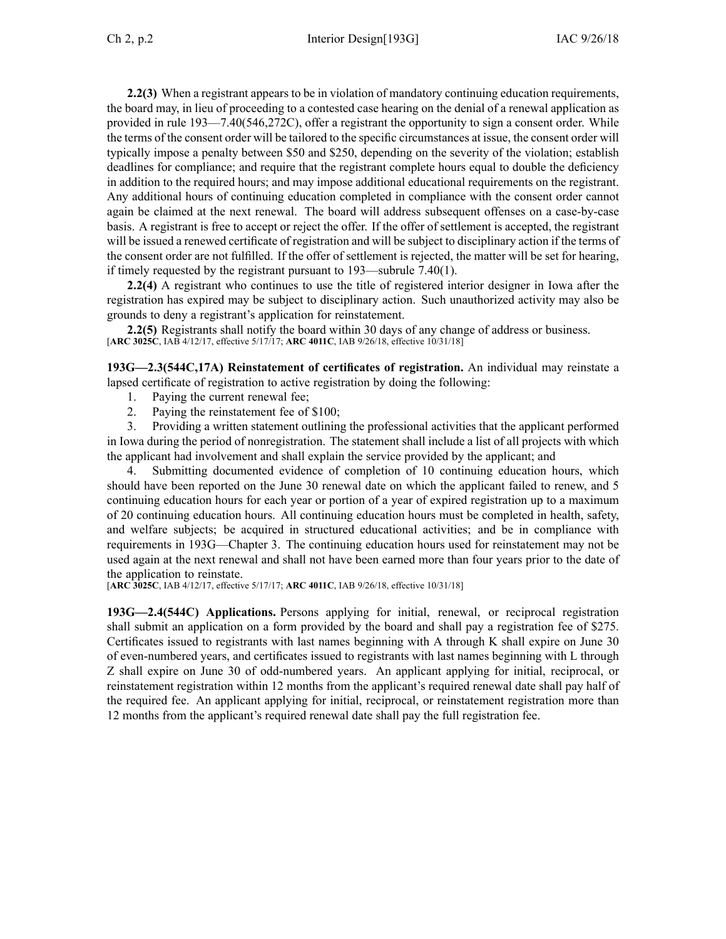**2.2(3)** When <sup>a</sup> registrant appears to be in violation of mandatory continuing education requirements, the board may, in lieu of proceeding to <sup>a</sup> contested case hearing on the denial of <sup>a</sup> renewal application as provided in rule [193—7.40](https://www.legis.iowa.gov/docs/iac/rule/193.7.40.pdf)(546,272C), offer <sup>a</sup> registrant the opportunity to sign <sup>a</sup> consent order. While the terms of the consent order will be tailored to the specific circumstances at issue, the consent order will typically impose <sup>a</sup> penalty between \$50 and \$250, depending on the severity of the violation; establish deadlines for compliance; and require that the registrant complete hours equal to double the deficiency in addition to the required hours; and may impose additional educational requirements on the registrant. Any additional hours of continuing education completed in compliance with the consent order cannot again be claimed at the next renewal. The board will address subsequent offenses on <sup>a</sup> case-by-case basis. A registrant is free to accep<sup>t</sup> or reject the offer. If the offer of settlement is accepted, the registrant will be issued <sup>a</sup> renewed certificate of registration and will be subject to disciplinary action if the terms of the consent order are not fulfilled. If the offer of settlement is rejected, the matter will be set for hearing, if timely requested by the registrant pursuan<sup>t</sup> to [193—subrule](https://www.legis.iowa.gov/docs/iac/rule/193.7.40.pdf) 7.40(1).

**2.2(4)** A registrant who continues to use the title of registered interior designer in Iowa after the registration has expired may be subject to disciplinary action. Such unauthorized activity may also be grounds to deny <sup>a</sup> registrant's application for reinstatement.

**2.2(5)** Registrants shall notify the board within 30 days of any change of address or business. [**ARC [3025C](https://www.legis.iowa.gov/docs/aco/arc/3025C.pdf)**, IAB 4/12/17, effective 5/17/17; **ARC [4011C](https://www.legis.iowa.gov/docs/aco/arc/4011C.pdf)**, IAB 9/26/18, effective 10/31/18]

**193G—2.3(544C,17A) Reinstatement of certificates of registration.** An individual may reinstate <sup>a</sup> lapsed certificate of registration to active registration by doing the following:

- 1. Paying the current renewal fee;
- 2. Paying the reinstatement fee of \$100;

3. Providing <sup>a</sup> written statement outlining the professional activities that the applicant performed in Iowa during the period of nonregistration. The statement shall include <sup>a</sup> list of all projects with which the applicant had involvement and shall explain the service provided by the applicant; and

4. Submitting documented evidence of completion of 10 continuing education hours, which should have been reported on the June 30 renewal date on which the applicant failed to renew, and 5 continuing education hours for each year or portion of <sup>a</sup> year of expired registration up to <sup>a</sup> maximum of 20 continuing education hours. All continuing education hours must be completed in health, safety, and welfare subjects; be acquired in structured educational activities; and be in compliance with requirements in 193G—Chapter 3. The continuing education hours used for reinstatement may not be used again at the next renewal and shall not have been earned more than four years prior to the date of the application to reinstate.

[**ARC [3025C](https://www.legis.iowa.gov/docs/aco/arc/3025C.pdf)**, IAB 4/12/17, effective 5/17/17; **ARC [4011C](https://www.legis.iowa.gov/docs/aco/arc/4011C.pdf)**, IAB 9/26/18, effective 10/31/18]

**193G—2.4(544C) Applications.** Persons applying for initial, renewal, or reciprocal registration shall submit an application on <sup>a</sup> form provided by the board and shall pay <sup>a</sup> registration fee of \$275. Certificates issued to registrants with last names beginning with A through K shall expire on June 30 of even-numbered years, and certificates issued to registrants with last names beginning with L through Z shall expire on June 30 of odd-numbered years. An applicant applying for initial, reciprocal, or reinstatement registration within 12 months from the applicant's required renewal date shall pay half of the required fee. An applicant applying for initial, reciprocal, or reinstatement registration more than 12 months from the applicant's required renewal date shall pay the full registration fee.